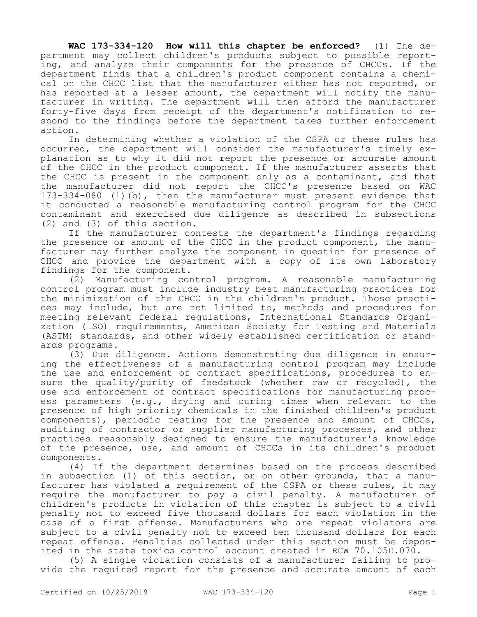**WAC 173-334-120 How will this chapter be enforced?** (1) The department may collect children's products subject to possible reporting, and analyze their components for the presence of CHCCs. If the department finds that a children's product component contains a chemical on the CHCC list that the manufacturer either has not reported, or has reported at a lesser amount, the department will notify the manufacturer in writing. The department will then afford the manufacturer forty-five days from receipt of the department's notification to respond to the findings before the department takes further enforcement action.

In determining whether a violation of the CSPA or these rules has occurred, the department will consider the manufacturer's timely explanation as to why it did not report the presence or accurate amount of the CHCC in the product component. If the manufacturer asserts that the CHCC is present in the component only as a contaminant, and that the manufacturer did not report the CHCC's presence based on WAC 173-334-080 (1)(b), then the manufacturer must present evidence that it conducted a reasonable manufacturing control program for the CHCC contaminant and exercised due diligence as described in subsections (2) and (3) of this section.

If the manufacturer contests the department's findings regarding the presence or amount of the CHCC in the product component, the manufacturer may further analyze the component in question for presence of CHCC and provide the department with a copy of its own laboratory findings for the component.

(2) Manufacturing control program. A reasonable manufacturing control program must include industry best manufacturing practices for the minimization of the CHCC in the children's product. Those practices may include, but are not limited to, methods and procedures for meeting relevant federal regulations, International Standards Organization (ISO) requirements, American Society for Testing and Materials (ASTM) standards, and other widely established certification or standards programs.

(3) Due diligence. Actions demonstrating due diligence in ensuring the effectiveness of a manufacturing control program may include the use and enforcement of contract specifications, procedures to ensure the quality/purity of feedstock (whether raw or recycled), the use and enforcement of contract specifications for manufacturing process parameters (e.g., drying and curing times when relevant to the presence of high priority chemicals in the finished children's product components), periodic testing for the presence and amount of CHCCs, auditing of contractor or supplier manufacturing processes, and other practices reasonably designed to ensure the manufacturer's knowledge of the presence, use, and amount of CHCCs in its children's product components.

(4) If the department determines based on the process described in subsection (1) of this section, or on other grounds, that a manufacturer has violated a requirement of the CSPA or these rules, it may require the manufacturer to pay a civil penalty. A manufacturer of children's products in violation of this chapter is subject to a civil penalty not to exceed five thousand dollars for each violation in the case of a first offense. Manufacturers who are repeat violators are subject to a civil penalty not to exceed ten thousand dollars for each repeat offense. Penalties collected under this section must be deposited in the state toxics control account created in RCW 70.105D.070.

(5) A single violation consists of a manufacturer failing to provide the required report for the presence and accurate amount of each